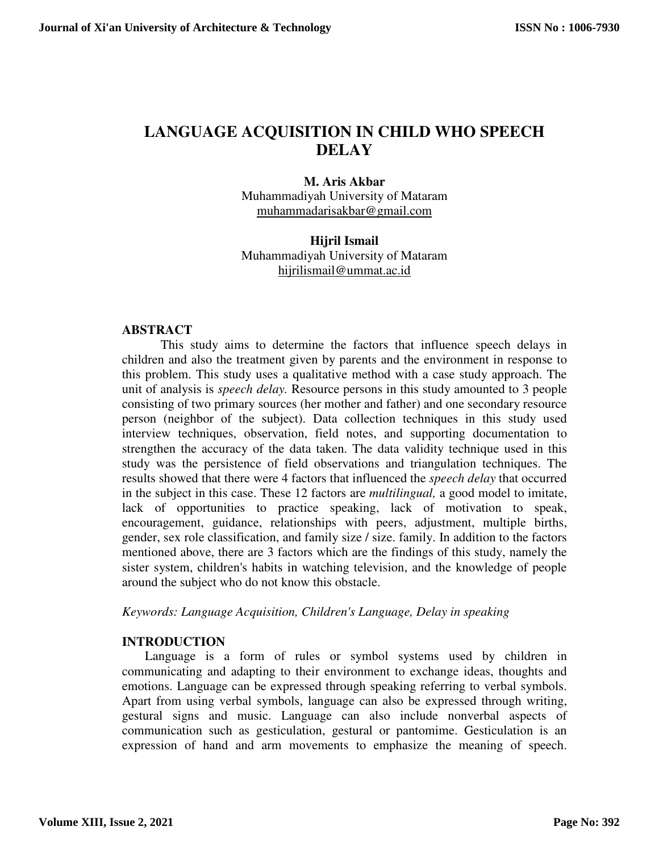# **LANGUAGE ACQUISITION IN CHILD WHO SPEECH DELAY**

#### **M. Aris Akbar**

Muhammadiyah University of Mataram muhammadarisakbar@gmail.com

## **Hijril Ismail**  Muhammadiyah University of Mataram hijrilismail@ummat.ac.id

#### **ABSTRACT**

This study aims to determine the factors that influence speech delays in children and also the treatment given by parents and the environment in response to this problem. This study uses a qualitative method with a case study approach. The unit of analysis is *speech delay.* Resource persons in this study amounted to 3 people consisting of two primary sources (her mother and father) and one secondary resource person (neighbor of the subject). Data collection techniques in this study used interview techniques, observation, field notes, and supporting documentation to strengthen the accuracy of the data taken. The data validity technique used in this study was the persistence of field observations and triangulation techniques. The results showed that there were 4 factors that influenced the *speech delay* that occurred in the subject in this case. These 12 factors are *multilingual,* a good model to imitate, lack of opportunities to practice speaking, lack of motivation to speak, encouragement, guidance, relationships with peers, adjustment, multiple births, gender, sex role classification, and family size / size. family. In addition to the factors mentioned above, there are 3 factors which are the findings of this study, namely the sister system, children's habits in watching television, and the knowledge of people around the subject who do not know this obstacle.

*Keywords: Language Acquisition, Children's Language, Delay in speaking*

# **INTRODUCTION**

Language is a form of rules or symbol systems used by children in communicating and adapting to their environment to exchange ideas, thoughts and emotions. Language can be expressed through speaking referring to verbal symbols. Apart from using verbal symbols, language can also be expressed through writing, gestural signs and music. Language can also include nonverbal aspects of communication such as gesticulation, gestural or pantomime. Gesticulation is an expression of hand and arm movements to emphasize the meaning of speech.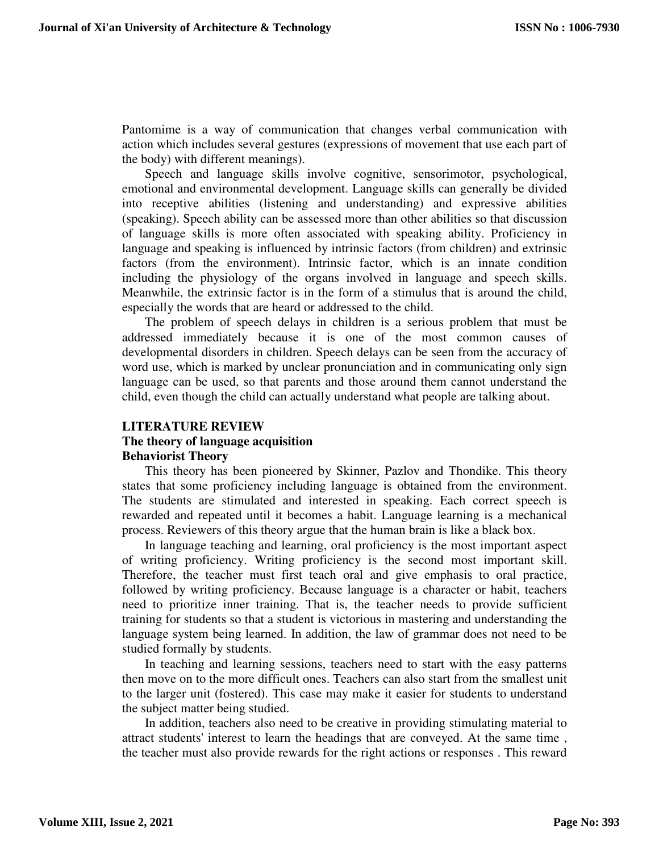Pantomime is a way of communication that changes verbal communication with action which includes several gestures (expressions of movement that use each part of the body) with different meanings).

Speech and language skills involve cognitive, sensorimotor, psychological, emotional and environmental development. Language skills can generally be divided into receptive abilities (listening and understanding) and expressive abilities (speaking). Speech ability can be assessed more than other abilities so that discussion of language skills is more often associated with speaking ability. Proficiency in language and speaking is influenced by intrinsic factors (from children) and extrinsic factors (from the environment). Intrinsic factor, which is an innate condition including the physiology of the organs involved in language and speech skills. Meanwhile, the extrinsic factor is in the form of a stimulus that is around the child, especially the words that are heard or addressed to the child.

The problem of speech delays in children is a serious problem that must be addressed immediately because it is one of the most common causes of developmental disorders in children. Speech delays can be seen from the accuracy of word use, which is marked by unclear pronunciation and in communicating only sign language can be used, so that parents and those around them cannot understand the child, even though the child can actually understand what people are talking about.

# **LITERATURE REVIEW The theory of language acquisition Behaviorist Theory**

This theory has been pioneered by Skinner, Pazlov and Thondike. This theory states that some proficiency including language is obtained from the environment. The students are stimulated and interested in speaking. Each correct speech is rewarded and repeated until it becomes a habit. Language learning is a mechanical process. Reviewers of this theory argue that the human brain is like a black box.

In language teaching and learning, oral proficiency is the most important aspect of writing proficiency. Writing proficiency is the second most important skill. Therefore, the teacher must first teach oral and give emphasis to oral practice, followed by writing proficiency. Because language is a character or habit, teachers need to prioritize inner training. That is, the teacher needs to provide sufficient training for students so that a student is victorious in mastering and understanding the language system being learned. In addition, the law of grammar does not need to be studied formally by students.

In teaching and learning sessions, teachers need to start with the easy patterns then move on to the more difficult ones. Teachers can also start from the smallest unit to the larger unit (fostered). This case may make it easier for students to understand the subject matter being studied.

In addition, teachers also need to be creative in providing stimulating material to attract students' interest to learn the headings that are conveyed. At the same time , the teacher must also provide rewards for the right actions or responses . This reward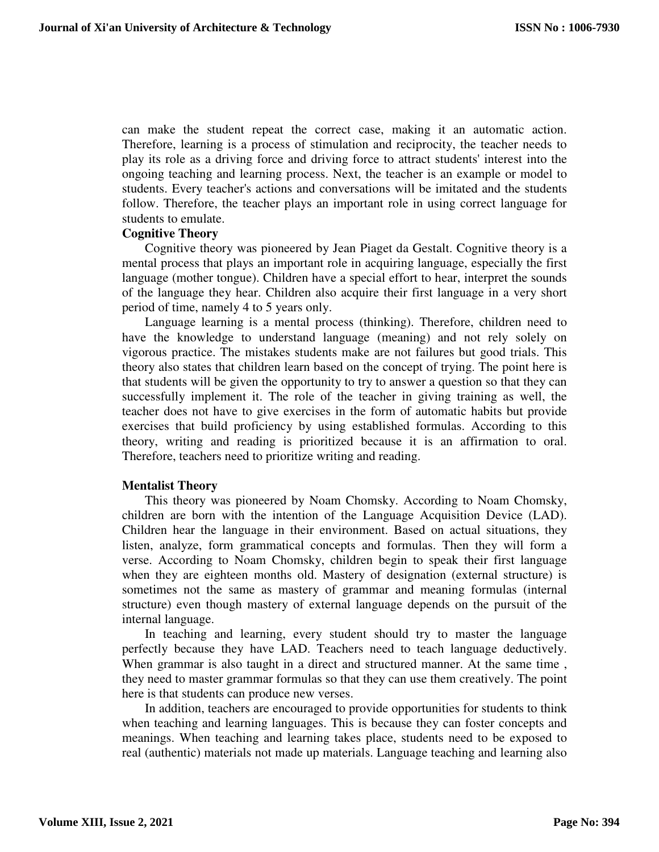can make the student repeat the correct case, making it an automatic action. Therefore, learning is a process of stimulation and reciprocity, the teacher needs to play its role as a driving force and driving force to attract students' interest into the ongoing teaching and learning process. Next, the teacher is an example or model to students. Every teacher's actions and conversations will be imitated and the students follow. Therefore, the teacher plays an important role in using correct language for students to emulate.

#### **Cognitive Theory**

Cognitive theory was pioneered by Jean Piaget da Gestalt. Cognitive theory is a mental process that plays an important role in acquiring language, especially the first language (mother tongue). Children have a special effort to hear, interpret the sounds of the language they hear. Children also acquire their first language in a very short period of time, namely 4 to 5 years only.

Language learning is a mental process (thinking). Therefore, children need to have the knowledge to understand language (meaning) and not rely solely on vigorous practice. The mistakes students make are not failures but good trials. This theory also states that children learn based on the concept of trying. The point here is that students will be given the opportunity to try to answer a question so that they can successfully implement it. The role of the teacher in giving training as well, the teacher does not have to give exercises in the form of automatic habits but provide exercises that build proficiency by using established formulas. According to this theory, writing and reading is prioritized because it is an affirmation to oral. Therefore, teachers need to prioritize writing and reading.

#### **Mentalist Theory**

This theory was pioneered by Noam Chomsky. According to Noam Chomsky, children are born with the intention of the Language Acquisition Device (LAD). Children hear the language in their environment. Based on actual situations, they listen, analyze, form grammatical concepts and formulas. Then they will form a verse. According to Noam Chomsky, children begin to speak their first language when they are eighteen months old. Mastery of designation (external structure) is sometimes not the same as mastery of grammar and meaning formulas (internal structure) even though mastery of external language depends on the pursuit of the internal language.

In teaching and learning, every student should try to master the language perfectly because they have LAD. Teachers need to teach language deductively. When grammar is also taught in a direct and structured manner. At the same time, they need to master grammar formulas so that they can use them creatively. The point here is that students can produce new verses.

In addition, teachers are encouraged to provide opportunities for students to think when teaching and learning languages. This is because they can foster concepts and meanings. When teaching and learning takes place, students need to be exposed to real (authentic) materials not made up materials. Language teaching and learning also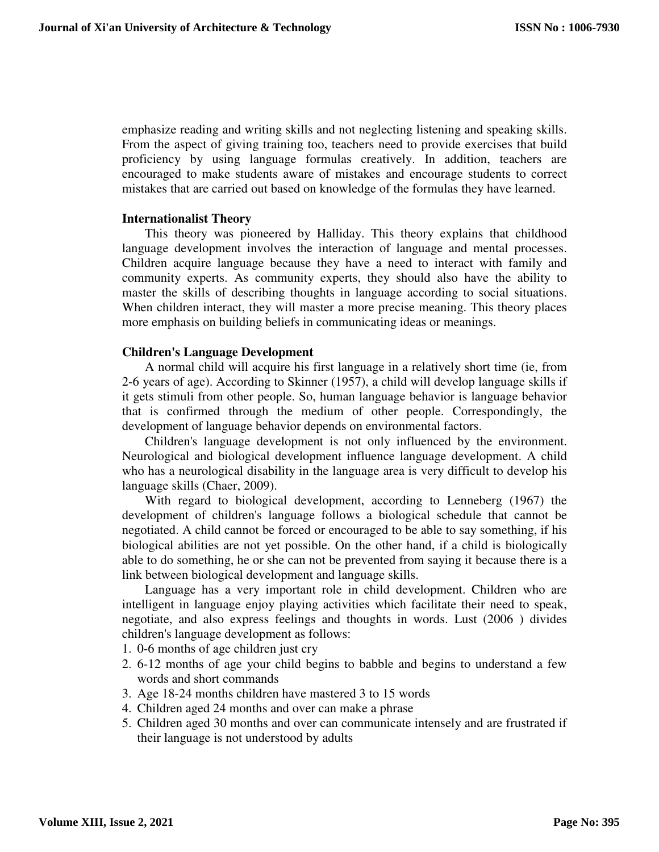emphasize reading and writing skills and not neglecting listening and speaking skills. From the aspect of giving training too, teachers need to provide exercises that build proficiency by using language formulas creatively. In addition, teachers are encouraged to make students aware of mistakes and encourage students to correct mistakes that are carried out based on knowledge of the formulas they have learned.

#### **Internationalist Theory**

This theory was pioneered by Halliday. This theory explains that childhood language development involves the interaction of language and mental processes. Children acquire language because they have a need to interact with family and community experts. As community experts, they should also have the ability to master the skills of describing thoughts in language according to social situations. When children interact, they will master a more precise meaning. This theory places more emphasis on building beliefs in communicating ideas or meanings.

## **Children's Language Development**

A normal child will acquire his first language in a relatively short time (ie, from 2-6 years of age). According to Skinner (1957), a child will develop language skills if it gets stimuli from other people. So, human language behavior is language behavior that is confirmed through the medium of other people. Correspondingly, the development of language behavior depends on environmental factors.

Children's language development is not only influenced by the environment. Neurological and biological development influence language development. A child who has a neurological disability in the language area is very difficult to develop his language skills (Chaer, 2009).

With regard to biological development, according to Lenneberg (1967) the development of children's language follows a biological schedule that cannot be negotiated. A child cannot be forced or encouraged to be able to say something, if his biological abilities are not yet possible. On the other hand, if a child is biologically able to do something, he or she can not be prevented from saying it because there is a link between biological development and language skills.

Language has a very important role in child development. Children who are intelligent in language enjoy playing activities which facilitate their need to speak, negotiate, and also express feelings and thoughts in words. Lust (2006 ) divides children's language development as follows:

- 1. 0-6 months of age children just cry
- 2. 6-12 months of age your child begins to babble and begins to understand a few words and short commands
- 3. Age 18-24 months children have mastered 3 to 15 words
- 4. Children aged 24 months and over can make a phrase
- 5. Children aged 30 months and over can communicate intensely and are frustrated if their language is not understood by adults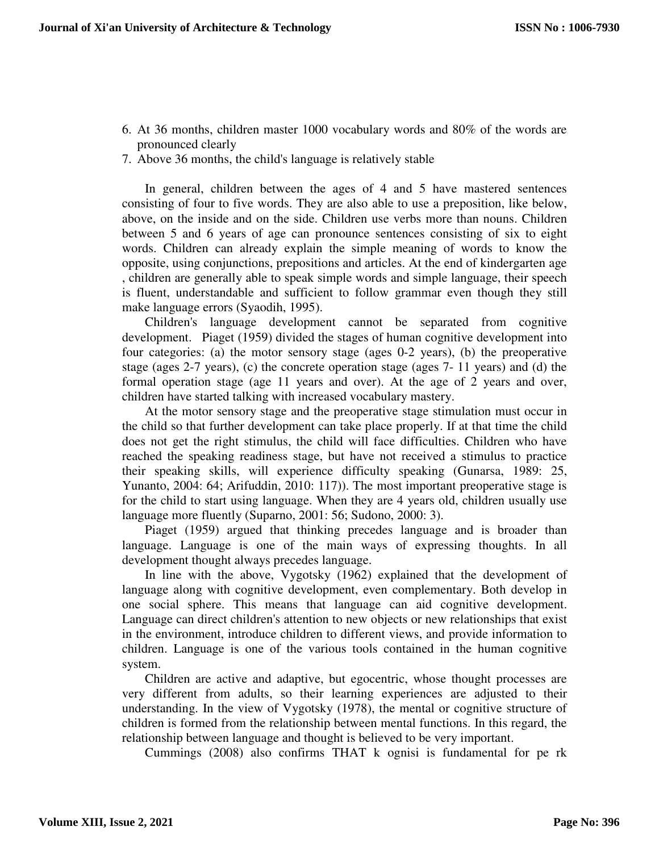- 6. At 36 months, children master 1000 vocabulary words and 80% of the words are pronounced clearly
- 7. Above 36 months, the child's language is relatively stable

In general, children between the ages of 4 and 5 have mastered sentences consisting of four to five words. They are also able to use a preposition, like below, above, on the inside and on the side. Children use verbs more than nouns. Children between 5 and 6 years of age can pronounce sentences consisting of six to eight words. Children can already explain the simple meaning of words to know the opposite, using conjunctions, prepositions and articles. At the end of kindergarten age , children are generally able to speak simple words and simple language, their speech is fluent, understandable and sufficient to follow grammar even though they still make language errors (Syaodih, 1995).

Children's language development cannot be separated from cognitive development. Piaget (1959) divided the stages of human cognitive development into four categories: (a) the motor sensory stage (ages 0-2 years), (b) the preoperative stage (ages 2-7 years), (c) the concrete operation stage (ages 7- 11 years) and (d) the formal operation stage (age 11 years and over). At the age of 2 years and over, children have started talking with increased vocabulary mastery.

At the motor sensory stage and the preoperative stage stimulation must occur in the child so that further development can take place properly. If at that time the child does not get the right stimulus, the child will face difficulties. Children who have reached the speaking readiness stage, but have not received a stimulus to practice their speaking skills, will experience difficulty speaking (Gunarsa, 1989: 25, Yunanto, 2004: 64; Arifuddin, 2010: 117)). The most important preoperative stage is for the child to start using language. When they are 4 years old, children usually use language more fluently (Suparno, 2001: 56; Sudono, 2000: 3).

Piaget (1959) argued that thinking precedes language and is broader than language. Language is one of the main ways of expressing thoughts. In all development thought always precedes language.

In line with the above, Vygotsky (1962) explained that the development of language along with cognitive development, even complementary. Both develop in one social sphere. This means that language can aid cognitive development. Language can direct children's attention to new objects or new relationships that exist in the environment, introduce children to different views, and provide information to children. Language is one of the various tools contained in the human cognitive system.

Children are active and adaptive, but egocentric, whose thought processes are very different from adults, so their learning experiences are adjusted to their understanding. In the view of Vygotsky (1978), the mental or cognitive structure of children is formed from the relationship between mental functions. In this regard, the relationship between language and thought is believed to be very important.

Cummings (2008) also confirms THAT k ognisi is fundamental for pe rk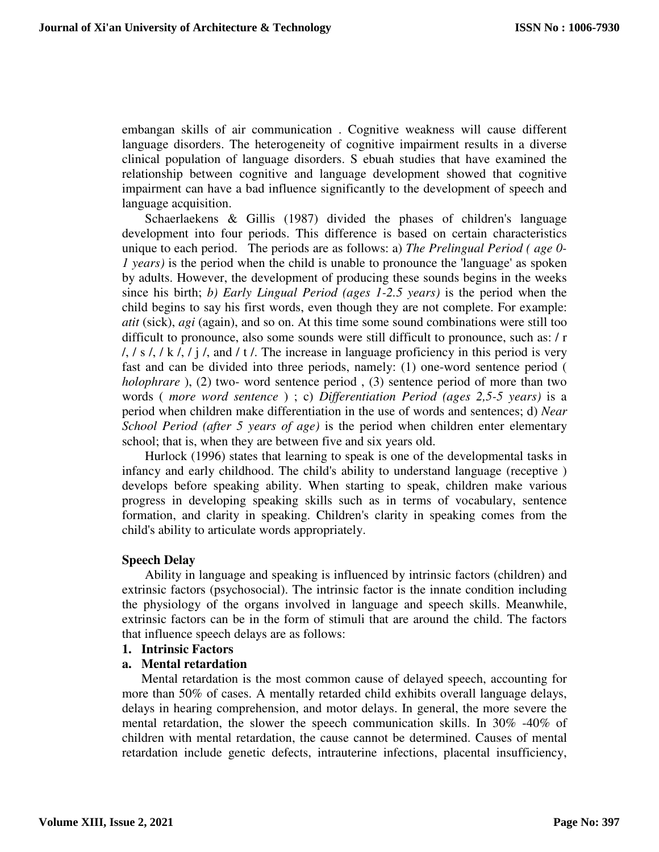embangan skills of air communication . Cognitive weakness will cause different language disorders. The heterogeneity of cognitive impairment results in a diverse clinical population of language disorders. S ebuah studies that have examined the relationship between cognitive and language development showed that cognitive impairment can have a bad influence significantly to the development of speech and language acquisition.

Schaerlaekens & Gillis (1987) divided the phases of children's language development into four periods. This difference is based on certain characteristics unique to each period. The periods are as follows: a) *The Prelingual Period ( age 0- 1 years)* is the period when the child is unable to pronounce the 'language' as spoken by adults. However, the development of producing these sounds begins in the weeks since his birth; *b) Early Lingual Period (ages 1-2.5 years)* is the period when the child begins to say his first words, even though they are not complete. For example: *atit* (sick), *agi* (again), and so on. At this time some sound combinations were still too difficult to pronounce, also some sounds were still difficult to pronounce, such as: / r  $/$ ,  $/$  s  $/$ ,  $/$  k  $/$ ,  $/$  j  $/$ , and  $/$  t  $/$ . The increase in language proficiency in this period is very fast and can be divided into three periods, namely: (1) one-word sentence period ( *holophrare* ), (2) two- word sentence period , (3) sentence period of more than two words ( *more word sentence* ) ; c) *Differentiation Period (ages 2,5-5 years)* is a period when children make differentiation in the use of words and sentences; d) *Near School Period (after 5 years of age)* is the period when children enter elementary school; that is, when they are between five and six years old.

Hurlock (1996) states that learning to speak is one of the developmental tasks in infancy and early childhood. The child's ability to understand language (receptive ) develops before speaking ability. When starting to speak, children make various progress in developing speaking skills such as in terms of vocabulary, sentence formation, and clarity in speaking. Children's clarity in speaking comes from the child's ability to articulate words appropriately.

#### **Speech Delay**

Ability in language and speaking is influenced by intrinsic factors (children) and extrinsic factors (psychosocial). The intrinsic factor is the innate condition including the physiology of the organs involved in language and speech skills. Meanwhile, extrinsic factors can be in the form of stimuli that are around the child. The factors that influence speech delays are as follows:

#### **1. Intrinsic Factors**

#### **a. Mental retardation**

Mental retardation is the most common cause of delayed speech, accounting for more than 50% of cases. A mentally retarded child exhibits overall language delays, delays in hearing comprehension, and motor delays. In general, the more severe the mental retardation, the slower the speech communication skills. In 30% -40% of children with mental retardation, the cause cannot be determined. Causes of mental retardation include genetic defects, intrauterine infections, placental insufficiency,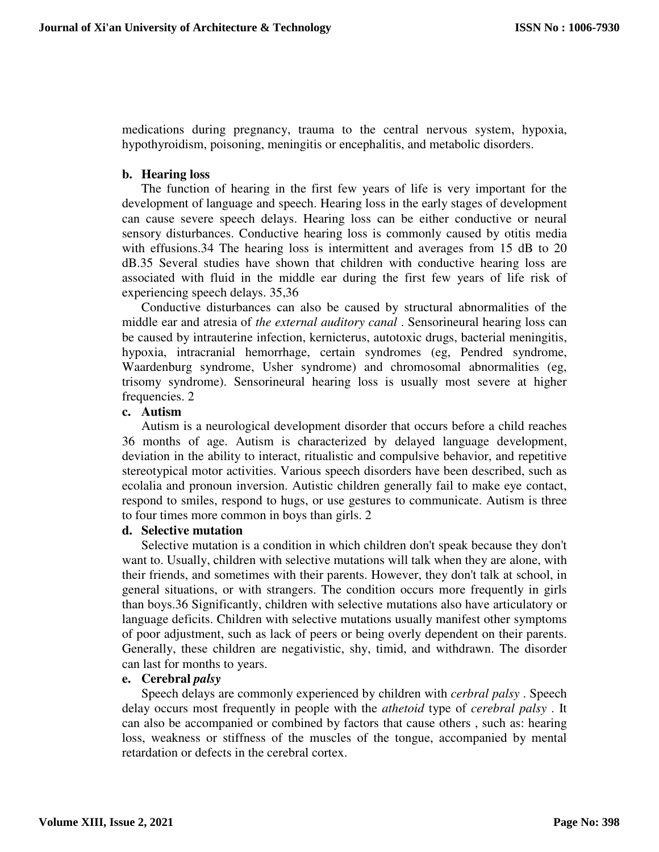medications during pregnancy, trauma to the central nervous system, hypoxia, hypothyroidism, poisoning, meningitis or encephalitis, and metabolic disorders.

## **b. Hearing loss**

The function of hearing in the first few years of life is very important for the development of language and speech. Hearing loss in the early stages of development can cause severe speech delays. Hearing loss can be either conductive or neural sensory disturbances. Conductive hearing loss is commonly caused by otitis media with effusions.34 The hearing loss is intermittent and averages from 15 dB to 20 dB.35 Several studies have shown that children with conductive hearing loss are associated with fluid in the middle ear during the first few years of life risk of experiencing speech delays. 35,36

Conductive disturbances can also be caused by structural abnormalities of the middle ear and atresia of *the external auditory canal* . Sensorineural hearing loss can be caused by intrauterine infection, kernicterus, autotoxic drugs, bacterial meningitis, hypoxia, intracranial hemorrhage, certain syndromes (eg, Pendred syndrome, Waardenburg syndrome, Usher syndrome) and chromosomal abnormalities (eg, trisomy syndrome). Sensorineural hearing loss is usually most severe at higher frequencies. 2

#### **c. Autism**

Autism is a neurological development disorder that occurs before a child reaches 36 months of age. Autism is characterized by delayed language development, deviation in the ability to interact, ritualistic and compulsive behavior, and repetitive stereotypical motor activities. Various speech disorders have been described, such as ecolalia and pronoun inversion. Autistic children generally fail to make eye contact, respond to smiles, respond to hugs, or use gestures to communicate. Autism is three to four times more common in boys than girls. 2

#### **d. Selective mutation**

Selective mutation is a condition in which children don't speak because they don't want to. Usually, children with selective mutations will talk when they are alone, with their friends, and sometimes with their parents. However, they don't talk at school, in general situations, or with strangers. The condition occurs more frequently in girls than boys.36 Significantly, children with selective mutations also have articulatory or language deficits. Children with selective mutations usually manifest other symptoms of poor adjustment, such as lack of peers or being overly dependent on their parents. Generally, these children are negativistic, shy, timid, and withdrawn. The disorder can last for months to years.

#### **e. Cerebral** *palsy*

Speech delays are commonly experienced by children with *cerbral palsy* . Speech delay occurs most frequently in people with the *athetoid* type of *cerebral palsy* . It can also be accompanied or combined by factors that cause others , such as: hearing loss, weakness or stiffness of the muscles of the tongue, accompanied by mental retardation or defects in the cerebral cortex.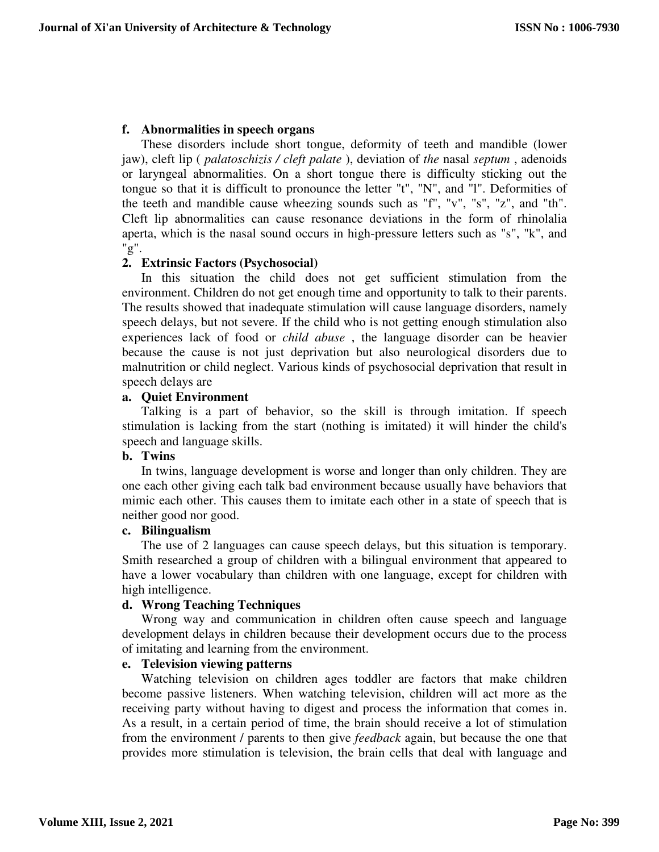# **f. Abnormalities in speech organs**

These disorders include short tongue, deformity of teeth and mandible (lower jaw), cleft lip ( *palatoschizis / cleft palate* ), deviation of *the* nasal *septum* , adenoids or laryngeal abnormalities. On a short tongue there is difficulty sticking out the tongue so that it is difficult to pronounce the letter "t", "N", and "l". Deformities of the teeth and mandible cause wheezing sounds such as "f", "v", "s", "z", and "th". Cleft lip abnormalities can cause resonance deviations in the form of rhinolalia aperta, which is the nasal sound occurs in high-pressure letters such as "s", "k", and "g".

# **2. Extrinsic Factors (Psychosocial)**

In this situation the child does not get sufficient stimulation from the environment. Children do not get enough time and opportunity to talk to their parents. The results showed that inadequate stimulation will cause language disorders, namely speech delays, but not severe. If the child who is not getting enough stimulation also experiences lack of food or *child abuse* , the language disorder can be heavier because the cause is not just deprivation but also neurological disorders due to malnutrition or child neglect. Various kinds of psychosocial deprivation that result in speech delays are

## **a. Quiet Environment**

Talking is a part of behavior, so the skill is through imitation. If speech stimulation is lacking from the start (nothing is imitated) it will hinder the child's speech and language skills.

# **b. Twins**

In twins, language development is worse and longer than only children. They are one each other giving each talk bad environment because usually have behaviors that mimic each other. This causes them to imitate each other in a state of speech that is neither good nor good.

# **c. Bilingualism**

The use of 2 languages can cause speech delays, but this situation is temporary. Smith researched a group of children with a bilingual environment that appeared to have a lower vocabulary than children with one language, except for children with high intelligence.

## **d. Wrong Teaching Techniques**

Wrong way and communication in children often cause speech and language development delays in children because their development occurs due to the process of imitating and learning from the environment.

## **e. Television viewing patterns**

Watching television on children ages toddler are factors that make children become passive listeners. When watching television, children will act more as the receiving party without having to digest and process the information that comes in. As a result, in a certain period of time, the brain should receive a lot of stimulation from the environment / parents to then give *feedback* again, but because the one that provides more stimulation is television, the brain cells that deal with language and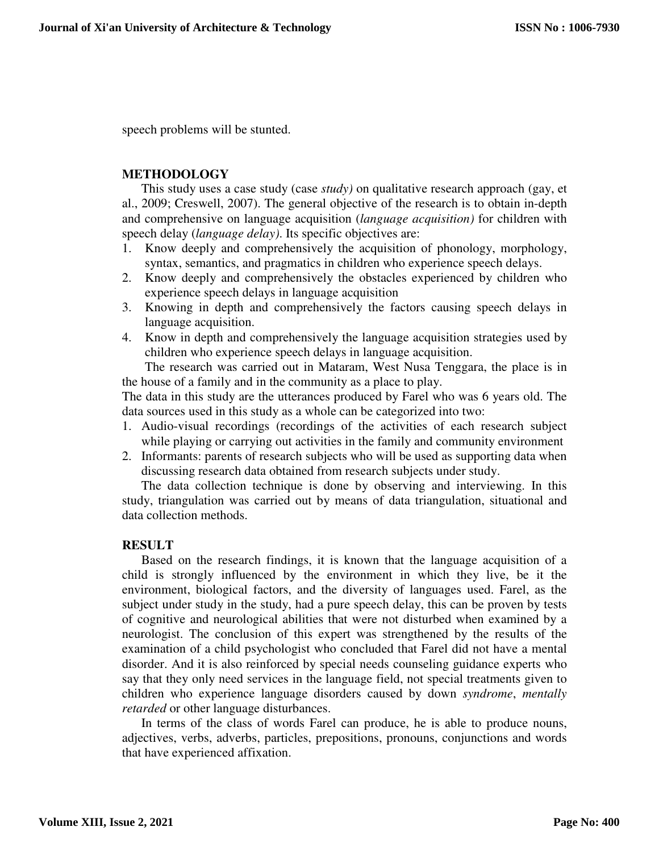speech problems will be stunted.

# **METHODOLOGY**

This study uses a case study (case *study)* on qualitative research approach (gay, et al., 2009; Creswell, 2007). The general objective of the research is to obtain in-depth and comprehensive on language acquisition (*language acquisition)* for children with speech delay (*language delay)*. Its specific objectives are:

- 1. Know deeply and comprehensively the acquisition of phonology, morphology, syntax, semantics, and pragmatics in children who experience speech delays.
- 2. Know deeply and comprehensively the obstacles experienced by children who experience speech delays in language acquisition
- 3. Knowing in depth and comprehensively the factors causing speech delays in language acquisition.
- 4. Know in depth and comprehensively the language acquisition strategies used by children who experience speech delays in language acquisition.

The research was carried out in Mataram, West Nusa Tenggara, the place is in the house of a family and in the community as a place to play.

The data in this study are the utterances produced by Farel who was 6 years old. The data sources used in this study as a whole can be categorized into two:

- 1. Audio-visual recordings (recordings of the activities of each research subject while playing or carrying out activities in the family and community environment
- 2. Informants: parents of research subjects who will be used as supporting data when discussing research data obtained from research subjects under study.

The data collection technique is done by observing and interviewing. In this study, triangulation was carried out by means of data triangulation, situational and data collection methods.

#### **RESULT**

Based on the research findings, it is known that the language acquisition of a child is strongly influenced by the environment in which they live, be it the environment, biological factors, and the diversity of languages used. Farel, as the subject under study in the study, had a pure speech delay, this can be proven by tests of cognitive and neurological abilities that were not disturbed when examined by a neurologist. The conclusion of this expert was strengthened by the results of the examination of a child psychologist who concluded that Farel did not have a mental disorder. And it is also reinforced by special needs counseling guidance experts who say that they only need services in the language field, not special treatments given to children who experience language disorders caused by down *syndrome*, *mentally retarded* or other language disturbances.

In terms of the class of words Farel can produce, he is able to produce nouns, adjectives, verbs, adverbs, particles, prepositions, pronouns, conjunctions and words that have experienced affixation.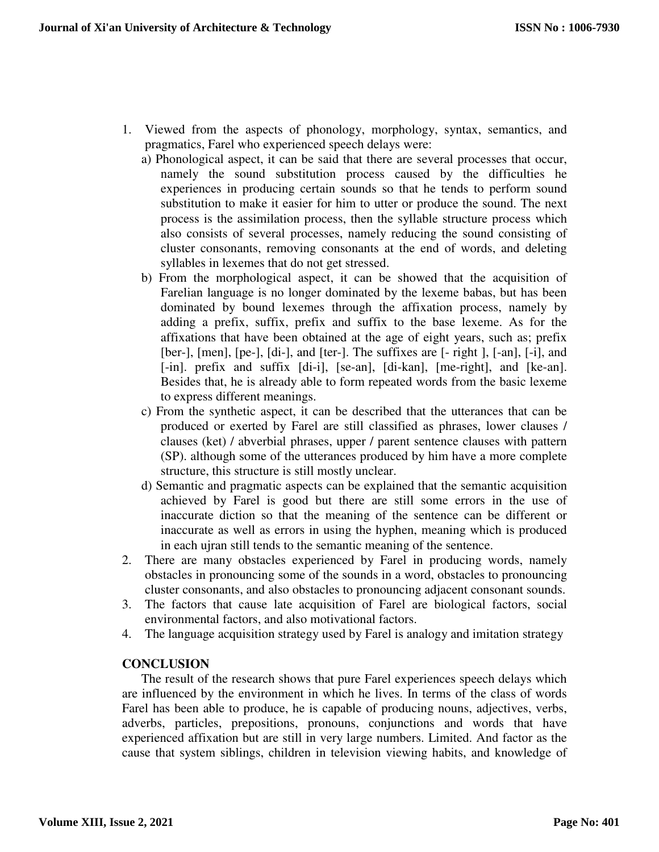- 1. Viewed from the aspects of phonology, morphology, syntax, semantics, and pragmatics, Farel who experienced speech delays were:
	- a) Phonological aspect, it can be said that there are several processes that occur, namely the sound substitution process caused by the difficulties he experiences in producing certain sounds so that he tends to perform sound substitution to make it easier for him to utter or produce the sound. The next process is the assimilation process, then the syllable structure process which also consists of several processes, namely reducing the sound consisting of cluster consonants, removing consonants at the end of words, and deleting syllables in lexemes that do not get stressed.
	- b) From the morphological aspect, it can be showed that the acquisition of Farelian language is no longer dominated by the lexeme babas, but has been dominated by bound lexemes through the affixation process, namely by adding a prefix, suffix, prefix and suffix to the base lexeme. As for the affixations that have been obtained at the age of eight years, such as; prefix [ber-], [men], [pe-], [di-], and [ter-]. The suffixes are [- right ], [-an], [-i], and [-in]. prefix and suffix [di-i], [se-an], [di-kan], [me-right], and [ke-an]. Besides that, he is already able to form repeated words from the basic lexeme to express different meanings.
	- c) From the synthetic aspect, it can be described that the utterances that can be produced or exerted by Farel are still classified as phrases, lower clauses / clauses (ket) / abverbial phrases, upper / parent sentence clauses with pattern (SP). although some of the utterances produced by him have a more complete structure, this structure is still mostly unclear.
	- d) Semantic and pragmatic aspects can be explained that the semantic acquisition achieved by Farel is good but there are still some errors in the use of inaccurate diction so that the meaning of the sentence can be different or inaccurate as well as errors in using the hyphen, meaning which is produced in each ujran still tends to the semantic meaning of the sentence.
- 2. There are many obstacles experienced by Farel in producing words, namely obstacles in pronouncing some of the sounds in a word, obstacles to pronouncing cluster consonants, and also obstacles to pronouncing adjacent consonant sounds.
- 3. The factors that cause late acquisition of Farel are biological factors, social environmental factors, and also motivational factors.
- 4. The language acquisition strategy used by Farel is analogy and imitation strategy

# **CONCLUSION**

The result of the research shows that pure Farel experiences speech delays which are influenced by the environment in which he lives. In terms of the class of words Farel has been able to produce, he is capable of producing nouns, adjectives, verbs, adverbs, particles, prepositions, pronouns, conjunctions and words that have experienced affixation but are still in very large numbers. Limited. And factor as the cause that system siblings, children in television viewing habits, and knowledge of